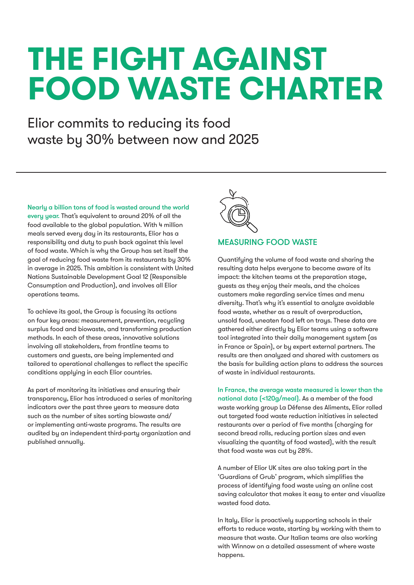# **THE FIGHT AGAINST FOOD WASTE CHARTER**

Elior commits to reducing its food waste by 30% between now and 2025

Nearly a billion tons of food is wasted around the world every year. That's equivalent to around 20% of all the food available to the global population. With 4 million meals served every day in its restaurants, Elior has a responsibility and duty to push back against this level of food waste. Which is why the Group has set itself the goal of reducing food waste from its restaurants by 30% in average in 2025. This ambition is consistent with United Nations Sustainable Development Goal 12 (Responsible Consumption and Production), and involves all Elior operations teams.

To achieve its goal, the Group is focusing its actions on four key areas: measurement, prevention, recycling surplus food and biowaste, and transforming production methods. In each of these areas, innovative solutions involving all stakeholders, from frontline teams to customers and guests, are being implemented and tailored to operational challenges to reflect the specific conditions applying in each Elior countries.

As part of monitoring its initiatives and ensuring their transparency, Elior has introduced a series of monitoring indicators over the past three years to measure data such as the number of sites sorting biowaste and/ or implementing anti-waste programs. The results are audited by an independent third-party organization and published annually.



#### MEASURING FOOD WASTE

Quantifying the volume of food waste and sharing the resulting data helps everyone to become aware of its impact: the kitchen teams at the preparation stage, guests as they enjoy their meals, and the choices customers make regarding service times and menu diversity. That's why it's essential to analyze avoidable food waste, whether as a result of overproduction, unsold food, uneaten food left on trays. These data are gathered either directly by Elior teams using a software tool integrated into their daily management system (as in France or Spain), or by expert external partners. The results are then analyzed and shared with customers as the basis for building action plans to address the sources of waste in individual restaurants.

In France, the average waste measured is lower than the national data (<120g/meal). As a member of the food waste working group La Défense des Aliments, Elior rolled out targeted food waste reduction initiatives in selected restaurants over a period of five months (charging for second bread rolls, reducing portion sizes and even visualizing the quantity of food wasted), with the result that food waste was cut by 28%.

A number of Elior UK sites are also taking part in the 'Guardians of Grub' program, which simplifies the process of identifying food waste using an online cost saving calculator that makes it easy to enter and visualize wasted food data.

In Italy, Elior is proactively supporting schools in their efforts to reduce waste, starting by working with them to measure that waste. Our Italian teams are also working with Winnow on a detailed assessment of where waste happens.